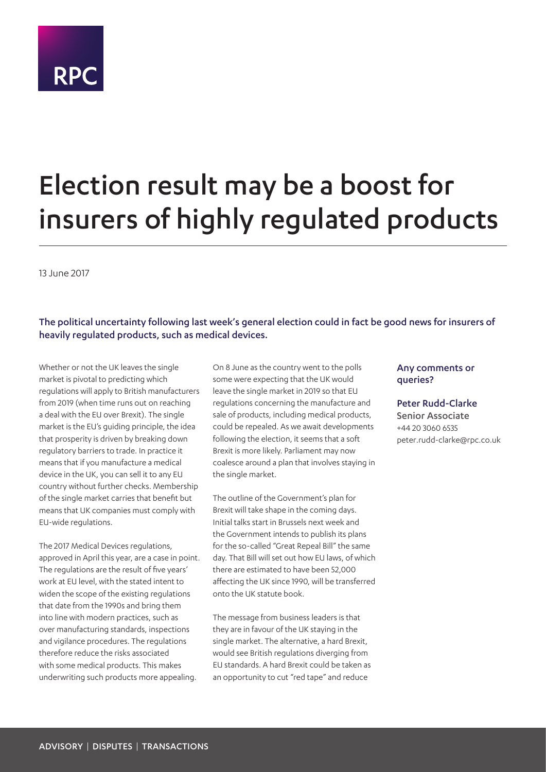# **RPC**

## Election result may be a boost for insurers of highly regulated products

13 June 2017

#### The political uncertainty following last week's general election could in fact be good news for insurers of heavily regulated products, such as medical devices.

Whether or not the UK leaves the single market is pivotal to predicting which regulations will apply to British manufacturers from 2019 (when time runs out on reaching a deal with the EU over Brexit). The single market is the EU's guiding principle, the idea that prosperity is driven by breaking down regulatory barriers to trade. In practice it means that if you manufacture a medical device in the UK, you can sell it to any EU country without further checks. Membership of the single market carries that benefit but means that UK companies must comply with EU-wide regulations.

The 2017 Medical Devices regulations, approved in April this year, are a case in point. The regulations are the result of five years' work at EU level, with the stated intent to widen the scope of the existing regulations that date from the 1990s and bring them into line with modern practices, such as over manufacturing standards, inspections and vigilance procedures. The regulations therefore reduce the risks associated with some medical products. This makes underwriting such products more appealing.

On 8 June as the country went to the polls some were expecting that the UK would leave the single market in 2019 so that EU regulations concerning the manufacture and sale of products, including medical products, could be repealed. As we await developments following the election, it seems that a soft Brexit is more likely. Parliament may now coalesce around a plan that involves staying in the single market.

The outline of the Government's plan for Brexit will take shape in the coming days. Initial talks start in Brussels next week and the Government intends to publish its plans for the so-called "Great Repeal Bill" the same day. That Bill will set out how EU laws, of which there are estimated to have been 52,000 affecting the UK since 1990, will be transferred onto the UK statute book.

The message from business leaders is that they are in favour of the UK staying in the single market. The alternative, a hard Brexit, would see British regulations diverging from EU standards. A hard Brexit could be taken as an opportunity to cut "red tape" and reduce

#### Any comments or queries?

Peter Rudd-Clarke Senior Associate +44 20 3060 6535 peter.rudd-clarke@rpc.co.uk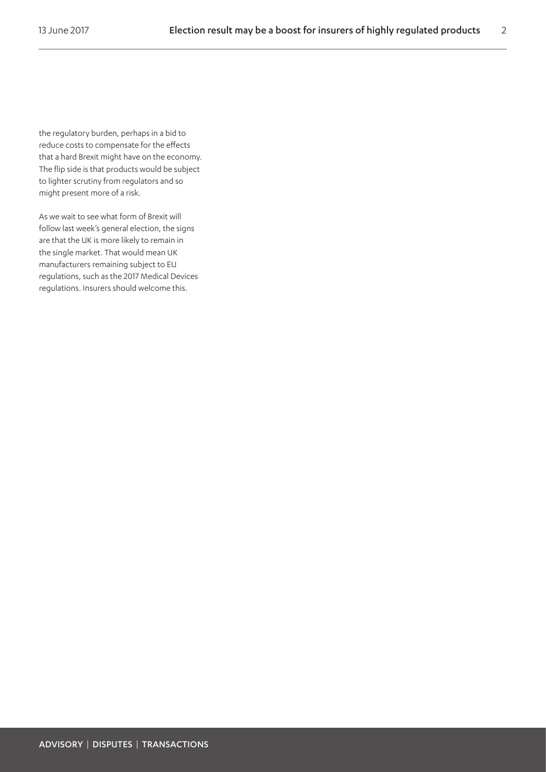the regulatory burden, perhaps in a bid to reduce costs to compensate for the effects that a hard Brexit might have on the economy. The flip side is that products would be subject to lighter scrutiny from regulators and so might present more of a risk.

As we wait to see what form of Brexit will follow last week's general election, the signs are that the UK is more likely to remain in the single market. That would mean UK manufacturers remaining subject to EU regulations, such as the 2017 Medical Devices regulations. Insurers should welcome this.